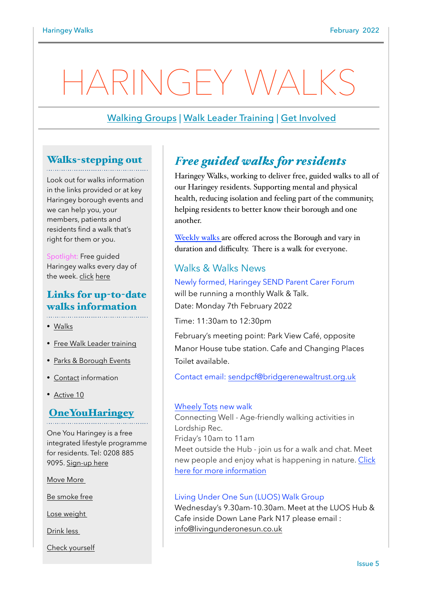# HARINGEY WALKS

# [Walking Groups](https://www.haringey.gov.uk/parking-roads-and-travel/travel/walking/haringey-walks) | [Walk Leader Training](mailto:Pamela.Harbige@fusion-lifestyle.com?subject=Wellbeing%20Walk%20Leader%20Training%20) | [Get Involved](https://www.haringey.gov.uk/parking-roads-and-travel/travel/walking/walking-groups)

## Walks-stepping out

Look out for walks information in the links provided or at key Haringey borough events and we can help you, your members, patients and residents find a walk that's right for them or you.

Spotlight: Free guided Haringey walks every day of the week. [click](https://www.walkingforhealth.org.uk/walkfinder/haringey-walk-way) [here](https://www.walkingforhealth.org.uk/walkfinder/haringey-walk-way)

# Links for up-to-date walks information

- [Walks](https://www.haringey.gov.uk/parking-roads-and-travel/travel/walking/haringey-walks)
- [Free Walk Leader training](https://www.haringey.gov.uk/parking-roads-and-travel/travel/walking/walking-groups)
- [Parks & Borough Events](https://www.haringey.gov.uk/parking-roads-and-travel/travel/walking)
- [Contact](https://www.haringey.gov.uk/parking-roads-and-travel/travel/walking/walking-groups) information
- [Active 10](https://campaignresources.phe.gov.uk/resources/campaigns/60-one-you-active-10/Overview)

## **[OneYouHaringey](https://www.oneyouharingey.org)**

One You Haringey is a free integrated lifestyle programme for residents. Tel: 0208 885 9095. [Sign-up here](https://www.oneyouharingey.org)

[Move More](https://www.oneyouharingey.org/move-more/) 

[Be smoke free](https://www.oneyouharingey.org/smoke-free/)

[Lose weight](https://www.oneyouharingey.org/lose-weight/) 

[Drink less](https://www.oneyouharingey.org/lose-weight/) 

[Check yourself](https://www.oneyouharingey.org/lose-weight/)

# *Free guided walks for residents*

Haringey Walks, working to deliver free, guided walks to all of our Haringey residents. Supporting mental and physical health, reducing isolation and feeling part of the community, helping residents to better know their borough and one another.

[Weekly walks](https://www.walkingforhealth.org.uk/walkfinder/haringey-walk-way) are offered across the Borough and vary in duration and difficulty. There is a walk for everyone.

## Walks & Walks News

Newly formed, Haringey SEND Parent Carer Forum will be running a monthly Walk & Talk. Date: Monday 7th February 2022

Time: 11:30am to 12:30pm

February's meeting point: Park View Café, opposite Manor House tube station. Cafe and Changing Places Toilet available.

Contact email: [sendpcf@bridgerenewaltrust.org.uk](mailto:sendpcf@bridgerenewaltrust.org.uk)

#### [Wheely Tots](https://wheelytots.com/walking/) new walk

Connecting Well - Age-friendly walking activities in Lordship Rec. Friday's 10am to 11am Meet outside the Hub - join us for a walk and chat. Meet new people and enjoy what is happening in nature. [Click](https://wheelytots.com/walking)  [here for more information](https://wheelytots.com/walking)

#### Living Under One Sun (LUOS) Walk Group

Wednesday's 9.30am-10.30am. Meet at the LUOS Hub & Cafe inside Down Lane Park N17 please email : [info@livingunderonesun.co.uk](mailto:info@livingunderonesun.co.uk)